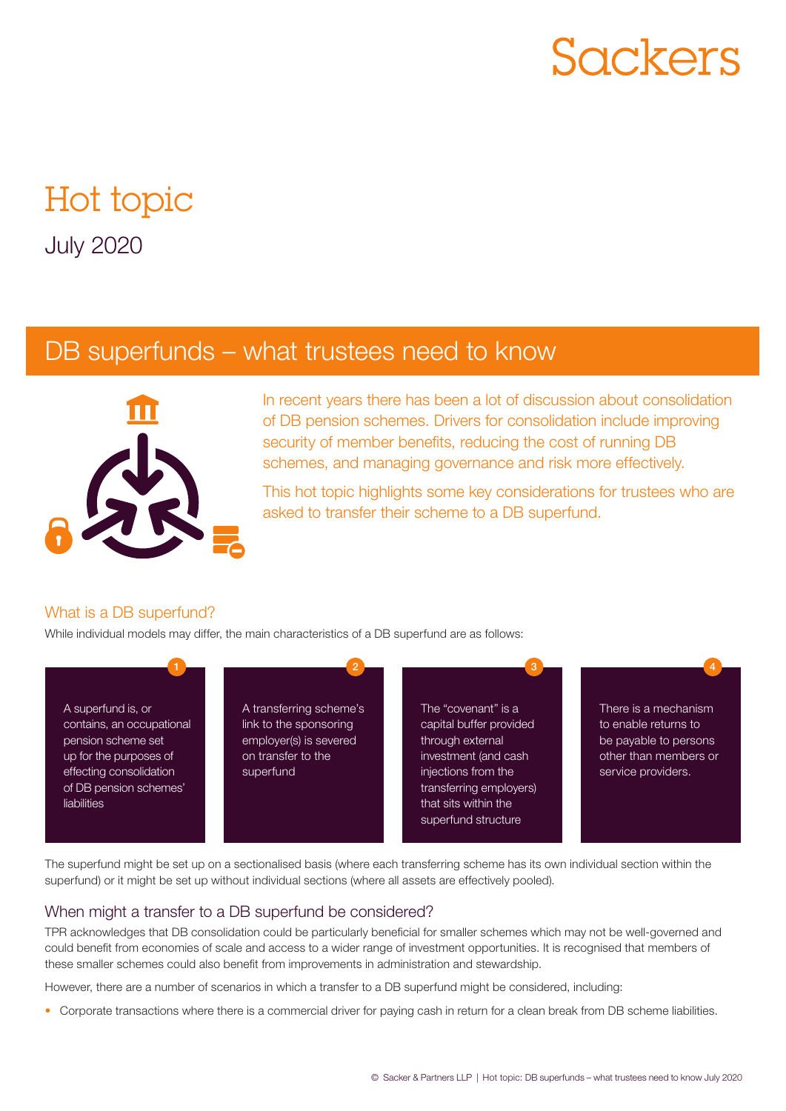## Sackers

## Hot topic

July 2020

### DB superfunds – what trustees need to know



In recent years there has been a lot of discussion about consolidation of DB pension schemes. Drivers for consolidation include improving security of member benefits, reducing the cost of running DB schemes, and managing governance and risk more effectively.

This hot topic highlights some key considerations for trustees who are asked to transfer their scheme to a DB superfund.

#### What is a DB superfund?

While individual models may differ, the main characteristics of a DB superfund are as follows:

A superfund is, or contains, an occupational pension scheme set up for the purposes of effecting consolidation of DB pension schemes' liabilities

A transferring scheme's link to the sponsoring employer(s) is severed on transfer to the superfund

The "covenant" is a capital buffer provided through external investment (and cash injections from the transferring employers) that sits within the superfund structure

1 **2**  $\frac{1}{2}$  4  $\frac{1}{2}$  4  $\frac{1}{2}$  4  $\frac{1}{2}$  4  $\frac{1}{2}$  4  $\frac{1}{2}$  4  $\frac{1}{2}$  4  $\frac{1}{2}$  4  $\frac{1}{2}$  4  $\frac{1}{2}$  4  $\frac{1}{2}$  4  $\frac{1}{2}$  4  $\frac{1}{2}$  4  $\frac{1}{2}$  4  $\frac{1}{2}$  4  $\frac{1}{2}$  4  $\frac{1}{2}$  4  $\frac{1}{2}$  4

There is a mechanism to enable returns to be payable to persons other than members or service providers.

The superfund might be set up on a sectionalised basis (where each transferring scheme has its own individual section within the superfund) or it might be set up without individual sections (where all assets are effectively pooled).

#### When might a transfer to a DB superfund be considered?

TPR acknowledges that DB consolidation could be particularly beneficial for smaller schemes which may not be well-governed and could benefit from economies of scale and access to a wider range of investment opportunities. It is recognised that members of these smaller schemes could also benefit from improvements in administration and stewardship.

However, there are a number of scenarios in which a transfer to a DB superfund might be considered, including:

• Corporate transactions where there is a commercial driver for paying cash in return for a clean break from DB scheme liabilities.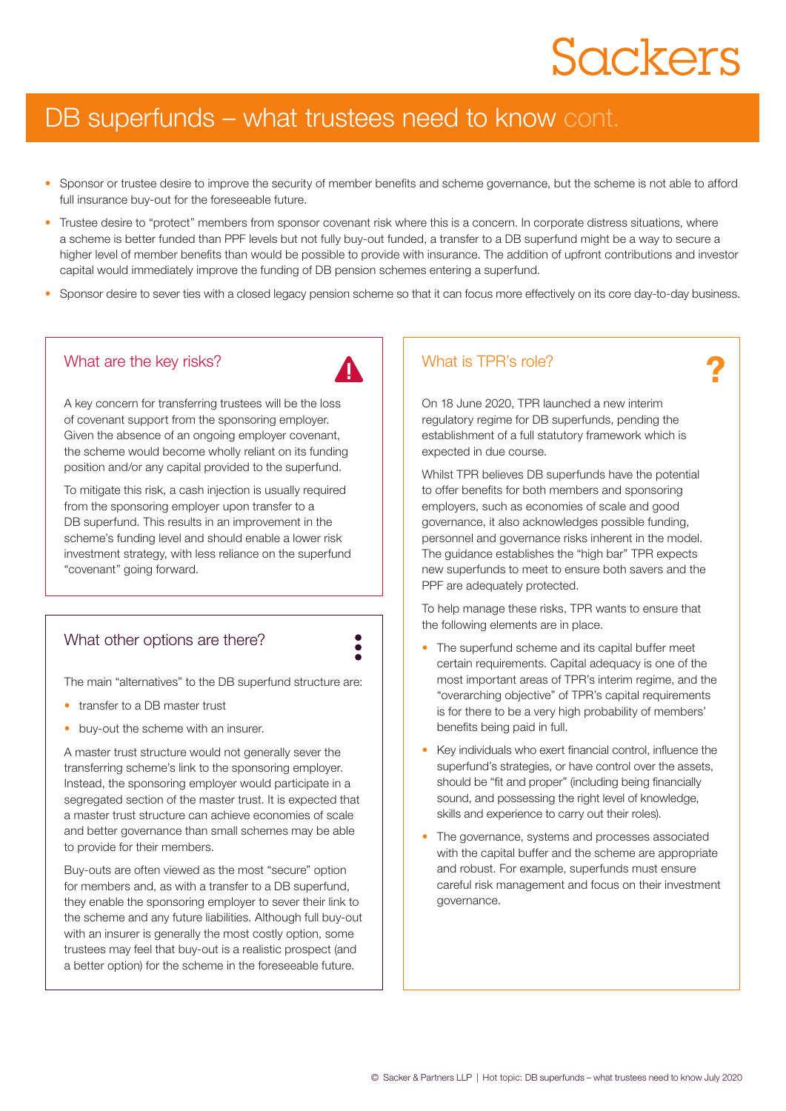# Sackers

### DB superfunds – what trustees need to know cont.

- Sponsor or trustee desire to improve the security of member benefits and scheme governance, but the scheme is not able to afford full insurance buy-out for the foreseeable future.
- Trustee desire to "protect" members from sponsor covenant risk where this is a concern. In corporate distress situations, where a scheme is better funded than PPF levels but not fully buy-out funded, a transfer to a DB superfund might be a way to secure a higher level of member benefits than would be possible to provide with insurance. The addition of upfront contributions and investor capital would immediately improve the funding of DB pension schemes entering a superfund.
- Sponsor desire to sever ties with a closed legacy pension scheme so that it can focus more effectively on its core day-to-day business.

#### What are the key risks?



A key concern for transferring trustees will be the loss of covenant support from the sponsoring employer. Given the absence of an ongoing employer covenant, the scheme would become wholly reliant on its funding position and/or any capital provided to the superfund.

To mitigate this risk, a cash injection is usually required from the sponsoring employer upon transfer to a DB superfund. This results in an improvement in the scheme's funding level and should enable a lower risk investment strategy, with less reliance on the superfund "covenant" going forward.

#### What other options are there?

Ā

The main "alternatives" to the DB superfund structure are:

- transfer to a DB master trust
- buy-out the scheme with an insurer.

A master trust structure would not generally sever the transferring scheme's link to the sponsoring employer. Instead, the sponsoring employer would participate in a segregated section of the master trust. It is expected that a master trust structure can achieve economies of scale and better governance than small schemes may be able to provide for their members.

Buy-outs are often viewed as the most "secure" option for members and, as with a transfer to a DB superfund, they enable the sponsoring employer to sever their link to the scheme and any future liabilities. Although full buy-out with an insurer is generally the most costly option, some trustees may feel that buy-out is a realistic prospect (and a better option) for the scheme in the foreseeable future.

#### What is TPR's role?

On 18 June 2020, TPR launched a new interim regulatory regime for DB superfunds, pending the establishment of a full statutory framework which is expected in due course.

Whilst TPR believes DB superfunds have the potential to offer benefits for both members and sponsoring employers, such as economies of scale and good governance, it also acknowledges possible funding, personnel and governance risks inherent in the model. The guidance establishes the "high bar" TPR expects new superfunds to meet to ensure both savers and the PPF are adequately protected.

To help manage these risks, TPR wants to ensure that the following elements are in place.

- The superfund scheme and its capital buffer meet certain requirements. Capital adequacy is one of the most important areas of TPR's interim regime, and the "overarching objective" of TPR's capital requirements is for there to be a very high probability of members' benefits being paid in full.
- Key individuals who exert financial control, influence the superfund's strategies, or have control over the assets, should be "fit and proper" (including being financially sound, and possessing the right level of knowledge, skills and experience to carry out their roles).
- The governance, systems and processes associated with the capital buffer and the scheme are appropriate and robust. For example, superfunds must ensure careful risk management and focus on their investment governance.